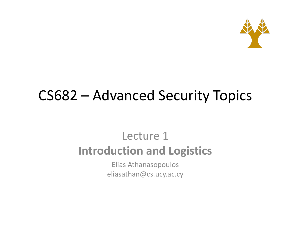

#### CS682 - Advanced Security Topics

#### Lecture 1 **Introduction and Logistics**

Elias Athanasopoulos eliasathan@cs.ucy.ac.cy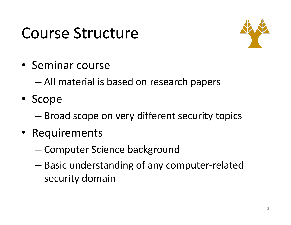### Course Structure



• Seminar course

– All material is based on research papers

- Scope
	- $-$  Broad scope on very different security topics
- Requirements
	- Computer Science background
	- $-$  Basic understanding of any computer-related security domain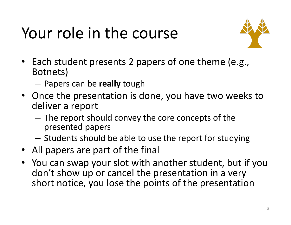# Your role in the course



- Each student presents 2 papers of one theme (e.g., Botnets)
	- Papers can be **really** tough
- Once the presentation is done, you have two weeks to deliver a report
	- $-$  The report should convey the core concepts of the presented papers
	- $-$  Students should be able to use the report for studying
- All papers are part of the final
- You can swap your slot with another student, but if you don't show up or cancel the presentation in a very short notice, you lose the points of the presentation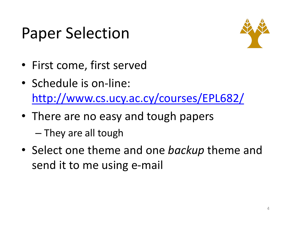## **Paper Selection**



- First come, first served
- Schedule is on-line: http://www.cs.ucy.ac.cy/courses/EPL682/
- There are no easy and tough papers – They are all tough
- Select one theme and one *backup* theme and send it to me using e-mail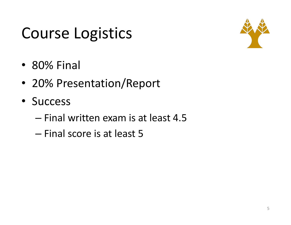## Course Logistics



- 80% Final
- 20% Presentation/Report
- Success
	- Final written exam is at least 4.5
	- Final score is at least 5